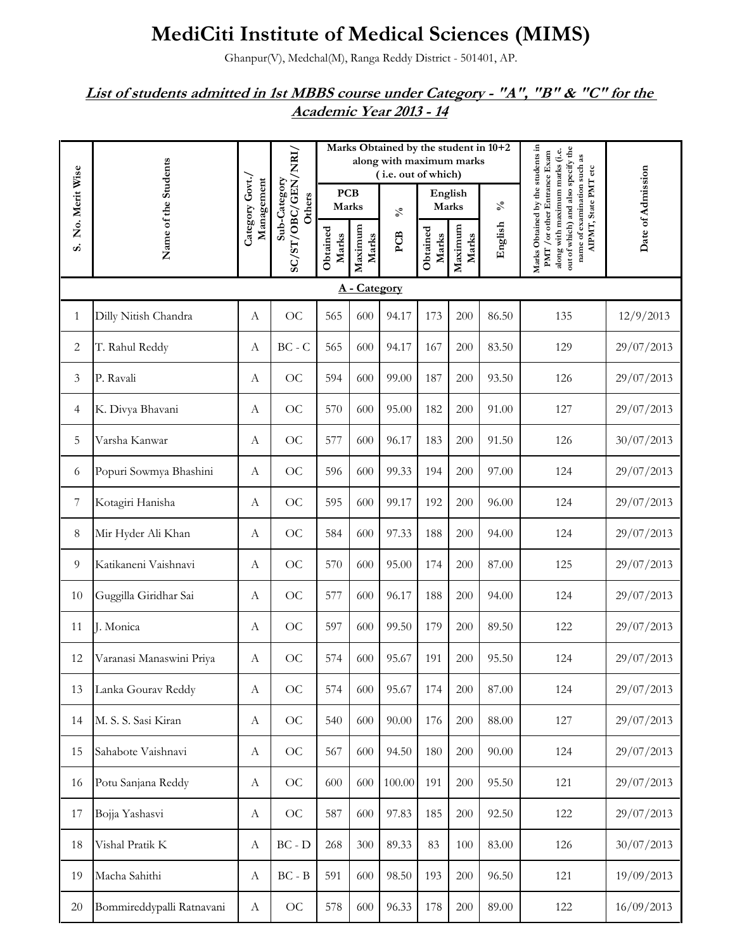## **MediCiti Institute of Medical Sciences (MIMS)**

Ghanpur(V), Medchal(M), Ranga Reddy District - 501401, AP.

## *List of students admitted in 1st MBBS course under Category - "A", "B" & "C" for the Academic Year 2013 - 14*

|                |                           |                               |                        |                     |                  | Marks Obtained by the student in 10+2<br>along with maximum marks<br>(i.e. out of which) |                   |                  |                            |                                                                                                                                                                                                  |                   |  |  |
|----------------|---------------------------|-------------------------------|------------------------|---------------------|------------------|------------------------------------------------------------------------------------------|-------------------|------------------|----------------------------|--------------------------------------------------------------------------------------------------------------------------------------------------------------------------------------------------|-------------------|--|--|
| No. Merit Wise |                           |                               | Sub-Category<br>Others | <b>PCB</b><br>Marks |                  | $\mathcal{S}_{\mathbf{0}}$                                                               | Marks             | English          | $\mathcal{S}_{\mathbf{0}}$ |                                                                                                                                                                                                  |                   |  |  |
| s.             | Name of the Students      | Category Govt./<br>Management | SC/ST/OBC/GEN/NRI/     | Obtained<br>Marks   | Maximum<br>Marks | PCB                                                                                      | Obtained<br>Marks | Maximum<br>Marks | English                    | Marks Obtained by the students in<br>out of which) and also specify the<br>along with maximum marks (i.e.<br>PMT / or other Entrance Exam<br>name of examination such as<br>AIPMT, State PMT etc | Date of Admission |  |  |
|                | A - Category              |                               |                        |                     |                  |                                                                                          |                   |                  |                            |                                                                                                                                                                                                  |                   |  |  |
| $\mathbf{1}$   | Dilly Nitish Chandra      | $\boldsymbol{A}$              | <b>OC</b>              | 565                 | 600              | 94.17                                                                                    | 173               | 200              | 86.50                      | 135                                                                                                                                                                                              | 12/9/2013         |  |  |
| 2              | T. Rahul Reddy            | А                             | $BC - C$               | 565                 | 600              | 94.17                                                                                    | 167               | 200              | 83.50                      | 129                                                                                                                                                                                              | 29/07/2013        |  |  |
| 3              | P. Ravali                 | А                             | OC                     | 594                 | 600              | 99.00                                                                                    | 187               | 200              | 93.50                      | 126                                                                                                                                                                                              | 29/07/2013        |  |  |
| 4              | K. Divya Bhavani          | А                             | <b>OC</b>              | 570                 | 600              | 95.00                                                                                    | 182               | 200              | 91.00                      | 127                                                                                                                                                                                              | 29/07/2013        |  |  |
| 5              | Varsha Kanwar             | А                             | <b>OC</b>              | 577                 | 600              | 96.17                                                                                    | 183               | 200              | 91.50                      | 126                                                                                                                                                                                              | 30/07/2013        |  |  |
| 6              | Popuri Sowmya Bhashini    | А                             | OC                     | 596                 | 600              | 99.33                                                                                    | 194               | 200              | 97.00                      | 124                                                                                                                                                                                              | 29/07/2013        |  |  |
| 7              | Kotagiri Hanisha          | А                             | $\rm OC$               | 595                 | 600              | 99.17                                                                                    | 192               | 200              | 96.00                      | 124                                                                                                                                                                                              | 29/07/2013        |  |  |
| 8              | Mir Hyder Ali Khan        | А                             | OC                     | 584                 | 600              | 97.33                                                                                    | 188               | 200              | 94.00                      | 124                                                                                                                                                                                              | 29/07/2013        |  |  |
| 9              | Katikaneni Vaishnavi      | А                             | OC                     | 570                 | 600              | 95.00                                                                                    | 174               | 200              | 87.00                      | 125                                                                                                                                                                                              | 29/07/2013        |  |  |
| 10             | Guggilla Giridhar Sai     | А                             | <b>OC</b>              | 577                 | 600              | 96.17                                                                                    | 188               | 200              | 94.00                      | 124                                                                                                                                                                                              | 29/07/2013        |  |  |
| 11             | J. Monica                 | А                             | <b>OC</b>              | 597                 | 600              | 99.50                                                                                    | 179               | 200              | 89.50                      | 122                                                                                                                                                                                              | 29/07/2013        |  |  |
| 12             | Varanasi Manaswini Priya  | А                             | OC                     | 574                 | 600              | 95.67                                                                                    | 191               | 200              | 95.50                      | 124                                                                                                                                                                                              | 29/07/2013        |  |  |
| 13             | Lanka Gourav Reddy        | A                             | OC                     | 574                 | 600              | 95.67                                                                                    | 174               | 200              | 87.00                      | 124                                                                                                                                                                                              | 29/07/2013        |  |  |
| 14             | M. S. S. Sasi Kiran       | А                             | OC                     | 540                 | 600              | 90.00                                                                                    | 176               | 200              | 88.00                      | 127                                                                                                                                                                                              | 29/07/2013        |  |  |
| 15             | Sahabote Vaishnavi        | А                             | OC                     | 567                 | 600              | 94.50                                                                                    | 180               | 200              | 90.00                      | 124                                                                                                                                                                                              | 29/07/2013        |  |  |
| 16             | Potu Sanjana Reddy        | А                             | OC                     | 600                 | 600              | 100.00                                                                                   | 191               | 200              | 95.50                      | 121                                                                                                                                                                                              | 29/07/2013        |  |  |
| 17             | Bojja Yashasvi            | А                             | OC                     | 587                 | 600              | 97.83                                                                                    | 185               | 200              | 92.50                      | 122                                                                                                                                                                                              | 29/07/2013        |  |  |
| 18             | Vishal Pratik K           | А                             | $BC - D$               | 268                 | 300              | 89.33                                                                                    | 83                | 100              | 83.00                      | 126                                                                                                                                                                                              | 30/07/2013        |  |  |
| 19             | Macha Sahithi             | А                             | $BC - B$               | 591                 | 600              | 98.50                                                                                    | 193               | 200              | 96.50                      | 121                                                                                                                                                                                              | 19/09/2013        |  |  |
| $20\,$         | Bommireddypalli Ratnavani | А                             | $\rm OC$               | 578                 | 600              | 96.33                                                                                    | 178               | 200              | 89.00                      | 122                                                                                                                                                                                              | 16/09/2013        |  |  |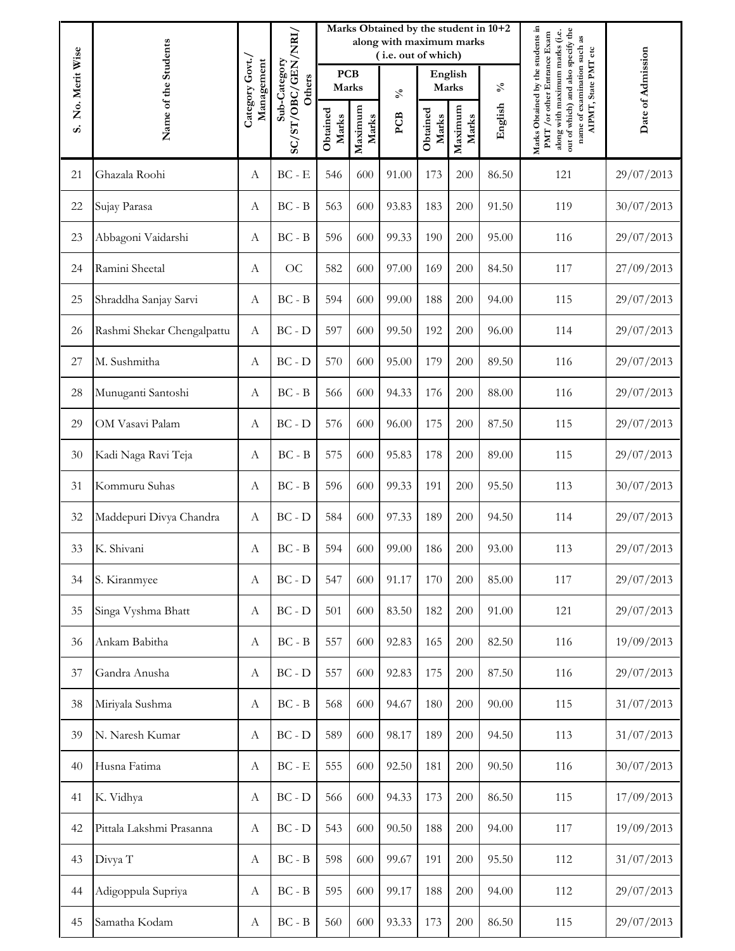|                |                            |                               |                                          |                     |                  | Marks Obtained by the student in 10+2<br>along with maximum marks<br>(i.e. out of which) |                   |                  | Date of Admission |                                                                                                                                                                          |                      |
|----------------|----------------------------|-------------------------------|------------------------------------------|---------------------|------------------|------------------------------------------------------------------------------------------|-------------------|------------------|-------------------|--------------------------------------------------------------------------------------------------------------------------------------------------------------------------|----------------------|
| No. Merit Wise |                            |                               | Sub-Category<br>Others                   | <b>PCB</b><br>Marks |                  | $\mathcal{S}_{\mathbf{0}}$                                                               |                   | English<br>Marks |                   | $\delta_{\rm v}$                                                                                                                                                         | AIPMT, State PMT etc |
| s.             | Name of the Students       | Category Govt./<br>Management | SC/ST/OBC/GEN/NRI/                       | Obtained<br>Marks   | Maximum<br>Marks | PCB                                                                                      | Obtained<br>Marks | Maximum<br>Marks | English           | Marks Obtained by the students in<br>out of which) and also specify the<br>along with maximum marks (i.e.<br>PMT / or other Entrance Exam<br>name of examination such as |                      |
| 21             | Ghazala Roohi              | А                             | $BC - E$                                 | 546                 | 600              | 91.00                                                                                    | 173               | 200              | 86.50             | 121                                                                                                                                                                      | 29/07/2013           |
| 22             | Sujay Parasa               | А                             | $BC - B$                                 | 563                 | 600              | 93.83                                                                                    | 183               | 200              | 91.50             | 119                                                                                                                                                                      | 30/07/2013           |
| 23             | Abbagoni Vaidarshi         | А                             | $BC - B$                                 | 596                 | 600              | 99.33                                                                                    | 190               | 200              | 95.00             | 116                                                                                                                                                                      | 29/07/2013           |
| 24             | Ramini Sheetal             | А                             | OC                                       | 582                 | 600              | 97.00                                                                                    | 169               | 200              | 84.50             | 117                                                                                                                                                                      | 27/09/2013           |
| 25             | Shraddha Sanjay Sarvi      | А                             | $BC - B$                                 | 594                 | 600              | 99.00                                                                                    | 188               | 200              | 94.00             | 115                                                                                                                                                                      | 29/07/2013           |
| 26             | Rashmi Shekar Chengalpattu | $\boldsymbol{A}$              | $BC - D$                                 | 597                 | 600              | 99.50                                                                                    | 192               | 200              | 96.00             | 114                                                                                                                                                                      | 29/07/2013           |
| 27             | M. Sushmitha               | $\boldsymbol{A}$              | $BC - D$                                 | 570                 | 600              | 95.00                                                                                    | 179               | 200              | 89.50             | 116                                                                                                                                                                      | 29/07/2013           |
| 28             | Munuganti Santoshi         | А                             | $BC - B$                                 | 566                 | 600              | 94.33                                                                                    | 176               | 200              | 88.00             | 116                                                                                                                                                                      | 29/07/2013           |
| 29             | OM Vasavi Palam            | А                             | $BC - D$                                 | 576                 | 600              | 96.00                                                                                    | 175               | 200              | 87.50             | 115                                                                                                                                                                      | 29/07/2013           |
| 30             | Kadi Naga Ravi Teja        | А                             | $BC - B$                                 | 575                 | 600              | 95.83                                                                                    | 178               | 200              | 89.00             | 115                                                                                                                                                                      | 29/07/2013           |
| 31             | Kommuru Suhas              | А                             | $BC - B$                                 | 596                 | 600              | 99.33                                                                                    | 191               | 200              | 95.50             | 113                                                                                                                                                                      | 30/07/2013           |
| $32\,$         | Maddepuri Divya Chandra    | А                             | $BC - D$                                 | 584                 | 600              | 97.33                                                                                    | 189               | 200              | 94.50             | 114                                                                                                                                                                      | 29/07/2013           |
| 33             | K. Shivani                 | А                             | $BC - B$                                 | 594                 | 600              | 99.00                                                                                    | 186               | 200              | 93.00             | 113                                                                                                                                                                      | 29/07/2013           |
| 34             | S. Kiranmyee               | А                             | $BC - D$                                 | 547                 | 600              | 91.17                                                                                    | 170               | 200              | 85.00             | 117                                                                                                                                                                      | 29/07/2013           |
| 35             | Singa Vyshma Bhatt         | А                             | $BC - D$                                 | 501                 | 600              | 83.50                                                                                    | 182               | 200              | 91.00             | 121                                                                                                                                                                      | 29/07/2013           |
| 36             | Ankam Babitha              | $\boldsymbol{A}$              | $BC - B$                                 | 557                 | 600              | 92.83                                                                                    | 165               | 200              | 82.50             | 116                                                                                                                                                                      | 19/09/2013           |
| 37             | Gandra Anusha              | $\boldsymbol{A}$              | $BC - D$                                 | 557                 | 600              | 92.83                                                                                    | 175               | 200              | 87.50             | 116                                                                                                                                                                      | 29/07/2013           |
| 38             | Miriyala Sushma            | $\boldsymbol{A}$              | $\operatorname{BC}$ - $\operatorname{B}$ | 568                 | 600              | 94.67                                                                                    | 180               | 200              | 90.00             | 115                                                                                                                                                                      | 31/07/2013           |
| 39             | N. Naresh Kumar            | $\boldsymbol{A}$              | $BC - D$                                 | 589                 | 600              | 98.17                                                                                    | 189               | 200              | 94.50             | 113                                                                                                                                                                      | 31/07/2013           |
| 40             | Husna Fatima               | А                             | $BC - E$                                 | 555                 | 600              | 92.50                                                                                    | 181               | 200              | 90.50             | 116                                                                                                                                                                      | 30/07/2013           |
| 41             | K. Vidhya                  | $\boldsymbol{A}$              | $BC - D$                                 | 566                 | 600              | 94.33                                                                                    | 173               | 200              | 86.50             | 115                                                                                                                                                                      | 17/09/2013           |
| 42             | Pittala Lakshmi Prasanna   | $\boldsymbol{A}$              | $BC - D$                                 | 543                 | 600              | 90.50                                                                                    | 188               | 200              | 94.00             | 117                                                                                                                                                                      | 19/09/2013           |
| 43             | Divya T                    | А                             | $BC - B$                                 | 598                 | 600              | 99.67                                                                                    | 191               | 200              | 95.50             | 112                                                                                                                                                                      | 31/07/2013           |
| 44             | Adigoppula Supriya         | $\boldsymbol{A}$              | $\operatorname{BC}$ - $\operatorname{B}$ | 595                 | 600              | 99.17                                                                                    | 188               | 200              | 94.00             | 112                                                                                                                                                                      | 29/07/2013           |
| 45             | Samatha Kodam              | $\boldsymbol{A}$              | $\operatorname{BC}$ - $\operatorname{B}$ | 560                 | 600              | 93.33                                                                                    | 173               | 200              | 86.50             | 115                                                                                                                                                                      | 29/07/2013           |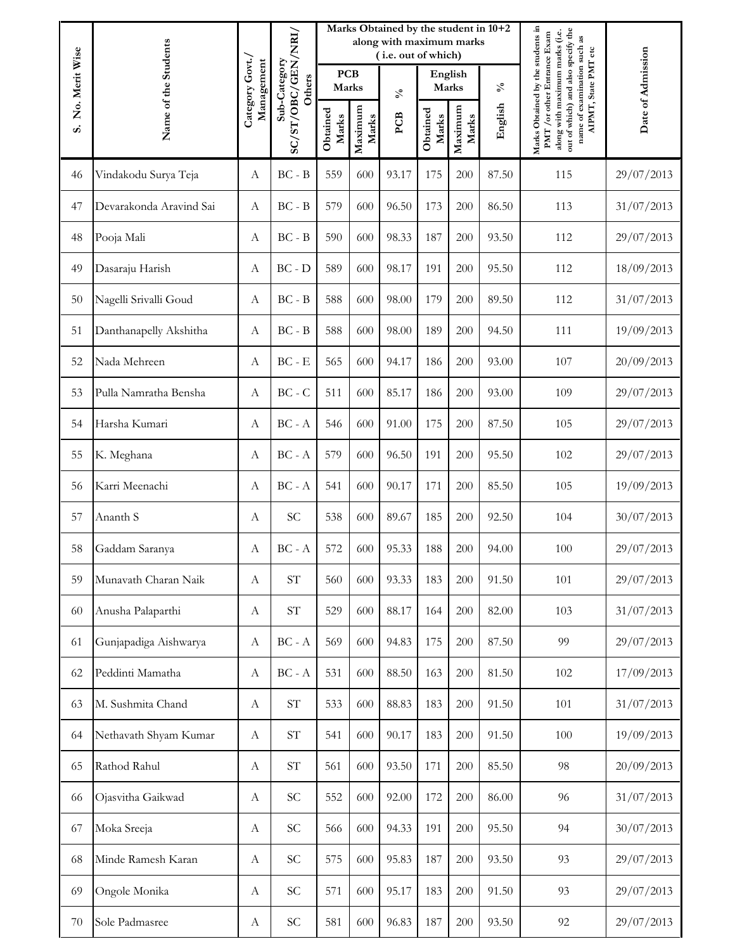|                |                         |                              |                                          |                     |                  | Marks Obtained by the student in 10+2<br>along with maximum marks<br>(i.e. out of which) |                   |                  |            | Date of Admission                                                                                                                                                        |                      |
|----------------|-------------------------|------------------------------|------------------------------------------|---------------------|------------------|------------------------------------------------------------------------------------------|-------------------|------------------|------------|--------------------------------------------------------------------------------------------------------------------------------------------------------------------------|----------------------|
| No. Merit Wise |                         |                              | Sub-Category<br>Others                   | <b>PCB</b><br>Marks |                  | $\mathcal{S}_{\mathbf{0}}$                                                               |                   | English<br>Marks | $\delta_0$ |                                                                                                                                                                          | AIPMT, State PMT etc |
| s.             | Name of the Students    | Category Govt.<br>Management | SC/ST/OBC/GEN/NRI/                       | Obtained<br>Marks   | Maximum<br>Marks | PCB                                                                                      | Obtained<br>Marks | Maximum<br>Marks | English    | Marks Obtained by the students in<br>out of which) and also specify the<br>along with maximum marks (i.e.<br>PMT / or other Entrance Exam<br>name of examination such as |                      |
| 46             | Vindakodu Surya Teja    | А                            | $BC - B$                                 | 559                 | 600              | 93.17                                                                                    | 175               | 200              | 87.50      | 115                                                                                                                                                                      | 29/07/2013           |
| 47             | Devarakonda Aravind Sai | А                            | $BC - B$                                 | 579                 | 600              | 96.50                                                                                    | 173               | 200              | 86.50      | 113                                                                                                                                                                      | 31/07/2013           |
| 48             | Pooja Mali              | А                            | $BC - B$                                 | 590                 | 600              | 98.33                                                                                    | 187               | 200              | 93.50      | 112                                                                                                                                                                      | 29/07/2013           |
| 49             | Dasaraju Harish         | А                            | $BC - D$                                 | 589                 | 600              | 98.17                                                                                    | 191               | 200              | 95.50      | 112                                                                                                                                                                      | 18/09/2013           |
| 50             | Nagelli Srivalli Goud   | А                            | $BC - B$                                 | 588                 | 600              | 98.00                                                                                    | 179               | 200              | 89.50      | 112                                                                                                                                                                      | 31/07/2013           |
| 51             | Danthanapelly Akshitha  | А                            | $BC - B$                                 | 588                 | 600              | 98.00                                                                                    | 189               | 200              | 94.50      | 111                                                                                                                                                                      | 19/09/2013           |
| 52             | Nada Mehreen            | А                            | $BC - E$                                 | 565                 | 600              | 94.17                                                                                    | 186               | 200              | 93.00      | 107                                                                                                                                                                      | 20/09/2013           |
| 53             | Pulla Namratha Bensha   | А                            | $BC - C$                                 | 511                 | 600              | 85.17                                                                                    | 186               | 200              | 93.00      | 109                                                                                                                                                                      | 29/07/2013           |
| 54             | Harsha Kumari           | A                            | $\operatorname{BC}$ - $\operatorname{A}$ | 546                 | 600              | 91.00                                                                                    | 175               | 200              | 87.50      | 105                                                                                                                                                                      | 29/07/2013           |
| 55             | K. Meghana              | А                            | $BC - A$                                 | 579                 | 600              | 96.50                                                                                    | 191               | 200              | 95.50      | 102                                                                                                                                                                      | 29/07/2013           |
| 56             | Karri Meenachi          | А                            | $BC - A$                                 | 541                 | 600              | 90.17                                                                                    | 171               | 200              | 85.50      | 105                                                                                                                                                                      | 19/09/2013           |
| 57             | Ananth S                | А                            | <b>SC</b>                                | 538                 | 600              | 89.67                                                                                    | 185               | 200              | 92.50      | 104                                                                                                                                                                      | 30/07/2013           |
| 58             | Gaddam Saranya          | А                            | $BC - A$                                 | 572                 | 600              | 95.33                                                                                    | 188               | 200              | 94.00      | 100                                                                                                                                                                      | 29/07/2013           |
| 59             | Munavath Charan Naik    | А                            | $\ensuremath{\mathrm{ST}}$               | 560                 | 600              | 93.33                                                                                    | 183               | 200              | 91.50      | 101                                                                                                                                                                      | 29/07/2013           |
| 60             | Anusha Palaparthi       | А                            | $\ensuremath{\mathrm{ST}}$               | 529                 | 600              | 88.17                                                                                    | 164               | 200              | 82.00      | 103                                                                                                                                                                      | 31/07/2013           |
| 61             | Gunjapadiga Aishwarya   | $\boldsymbol{A}$             | $BC - A$                                 | 569                 | 600              | 94.83                                                                                    | 175               | 200              | 87.50      | 99                                                                                                                                                                       | 29/07/2013           |
| 62             | Peddinti Mamatha        | А                            | $BC - A$                                 | 531                 | 600              | 88.50                                                                                    | 163               | 200              | 81.50      | 102                                                                                                                                                                      | 17/09/2013           |
| 63             | M. Sushmita Chand       | А                            | $\operatorname{ST}$                      | 533                 | 600              | 88.83                                                                                    | 183               | 200              | 91.50      | 101                                                                                                                                                                      | 31/07/2013           |
| 64             | Nethavath Shyam Kumar   | A                            | <b>ST</b>                                | 541                 | 600              | 90.17                                                                                    | 183               | 200              | 91.50      | 100                                                                                                                                                                      | 19/09/2013           |
| 65             | Rathod Rahul            | А                            | $\ensuremath{\mathrm{ST}}$               | 561                 | 600              | 93.50                                                                                    | 171               | 200              | 85.50      | 98                                                                                                                                                                       | 20/09/2013           |
| 66             | Ojasvitha Gaikwad       | А                            | $\ensuremath{\mathsf{SC}}$               | 552                 | 600              | 92.00                                                                                    | 172               | 200              | 86.00      | 96                                                                                                                                                                       | 31/07/2013           |
| 67             | Moka Sreeja             | A                            | <b>SC</b>                                | 566                 | 600              | 94.33                                                                                    | 191               | 200              | 95.50      | 94                                                                                                                                                                       | 30/07/2013           |
| 68             | Minde Ramesh Karan      | А                            | <b>SC</b>                                | 575                 | 600              | 95.83                                                                                    | 187               | 200              | 93.50      | 93                                                                                                                                                                       | 29/07/2013           |
| 69             | Ongole Monika           | А                            | $\ensuremath{\mathsf{SC}}$               | 571                 | 600              | 95.17                                                                                    | 183               | 200              | 91.50      | 93                                                                                                                                                                       | 29/07/2013           |
| 70             | Sole Padmasree          | А                            | <b>SC</b>                                | 581                 | 600              | 96.83                                                                                    | 187               | 200              | 93.50      | 92                                                                                                                                                                       | 29/07/2013           |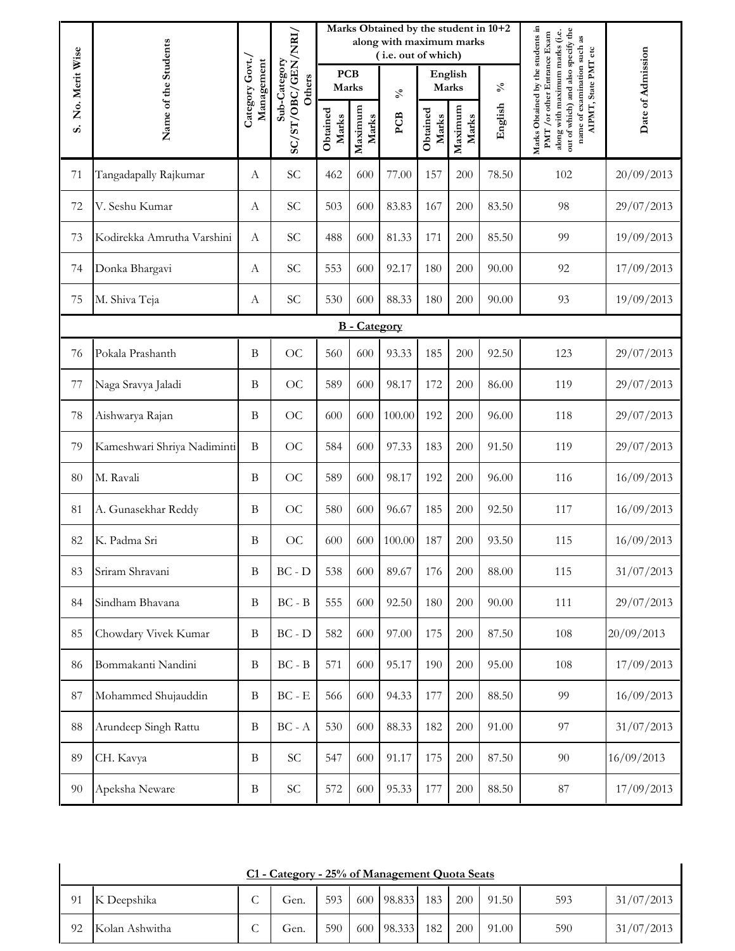|                |                             |                               |                                          |                     |                     | Marks Obtained by the student in 10+2<br>along with maximum marks<br>(i.e. out of which) |                   |                  |            |                                                                                                                                                                                                  |                   |
|----------------|-----------------------------|-------------------------------|------------------------------------------|---------------------|---------------------|------------------------------------------------------------------------------------------|-------------------|------------------|------------|--------------------------------------------------------------------------------------------------------------------------------------------------------------------------------------------------|-------------------|
| No. Merit Wise |                             |                               | Sub-Category<br>Others                   | <b>PCB</b><br>Marks |                     | $\mathcal{S}_{\mathbf{0}}$                                                               | English<br>Marks  |                  | $\delta_0$ |                                                                                                                                                                                                  | Date of Admission |
| s.             | Name of the Students        | Category Govt./<br>Management | SC/ST/OBC/GEN/NRI/                       | Obtained<br>Marks   | Maximum<br>Marks    | PCB                                                                                      | Obtained<br>Marks | Maximum<br>Marks | English    | Marks Obtained by the students in<br>out of which) and also specify the<br>along with maximum marks (i.e.<br>PMT / or other Entrance Exam<br>name of examination such as<br>AIPMT, State PMT etc |                   |
| 71             | Tangadapally Rajkumar       | А                             | SC                                       | 462                 | 600                 | 77.00                                                                                    | 157               | 200              | 78.50      | 102                                                                                                                                                                                              | 20/09/2013        |
| 72             | V. Seshu Kumar              | А                             | <b>SC</b>                                | 503                 | 600                 | 83.83                                                                                    | 167               | 200              | 83.50      | 98                                                                                                                                                                                               | 29/07/2013        |
| 73             | Kodirekka Amrutha Varshini  | $\mathbf{A}$                  | <b>SC</b>                                | 488                 | 600                 | 81.33                                                                                    | 171               | 200              | 85.50      | 99                                                                                                                                                                                               | 19/09/2013        |
| 74             | Donka Bhargavi              | А                             | SC                                       | 553                 | 600                 | 92.17                                                                                    | 180               | 200              | 90.00      | 92                                                                                                                                                                                               | 17/09/2013        |
| 75             | M. Shiva Teja               | А                             | <b>SC</b>                                | 530                 | 600                 | 88.33                                                                                    | 180               | 200              | 90.00      | 93                                                                                                                                                                                               | 19/09/2013        |
|                |                             |                               |                                          |                     | <b>B</b> - Category |                                                                                          |                   |                  |            |                                                                                                                                                                                                  |                   |
| 76             | Pokala Prashanth            | $\mathbf B$                   | <b>OC</b>                                | 560                 | 600                 | 93.33                                                                                    | 185               | 200              | 92.50      | 123                                                                                                                                                                                              | 29/07/2013        |
| 77             | Naga Sravya Jaladi          | $\mathbf B$                   | <b>OC</b>                                | 589                 | 600                 | 98.17                                                                                    | 172               | 200              | 86.00      | 119                                                                                                                                                                                              | 29/07/2013        |
| 78             | Aishwarya Rajan             | $\mathbf B$                   | <b>OC</b>                                | 600                 | 600                 | 100.00                                                                                   | 192               | 200              | 96.00      | 118                                                                                                                                                                                              | 29/07/2013        |
| 79             | Kameshwari Shriya Nadiminti | $\, {\bf B}$                  | <b>OC</b>                                | 584                 | 600                 | 97.33                                                                                    | 183               | 200              | 91.50      | 119                                                                                                                                                                                              | 29/07/2013        |
| 80             | M. Ravali                   | B                             | <b>OC</b>                                | 589                 | 600                 | 98.17                                                                                    | 192               | 200              | 96.00      | 116                                                                                                                                                                                              | 16/09/2013        |
| 81             | A. Gunasekhar Reddy         | $\mathbf B$                   | <b>OC</b>                                | 580                 | 600                 | 96.67                                                                                    | 185               | 200              | 92.50      | 117                                                                                                                                                                                              | 16/09/2013        |
| 82             | K. Padma Sri                | B                             | OC                                       | 600                 | 600                 | 100.00                                                                                   | 187               | 200              | 93.50      | 115                                                                                                                                                                                              | 16/09/2013        |
| 83             | Sriram Shravani             | $\mathbf B$                   | $BC - D$                                 | 538                 | 600                 | 89.67                                                                                    | 176               | 200              | 88.00      | 115                                                                                                                                                                                              | 31/07/2013        |
| 84             | Sindham Bhavana             | $\mathbf B$                   | $\operatorname{BC}$ - $\operatorname{B}$ | 555                 | 600                 | 92.50                                                                                    | 180               | 200              | 90.00      | 111                                                                                                                                                                                              | 29/07/2013        |
| 85             | Chowdary Vivek Kumar        | $\mathbf B$                   | $BC - D$                                 | 582                 | 600                 | 97.00                                                                                    | 175               | 200              | 87.50      | 108                                                                                                                                                                                              | 20/09/2013        |
| 86             | Bommakanti Nandini          | $\bf{B}$                      | $BC - B$                                 | 571                 | 600                 | 95.17                                                                                    | 190               | 200              | 95.00      | 108                                                                                                                                                                                              | 17/09/2013        |
| 87             | Mohammed Shujauddin         | $\, {\bf B}$                  | $\operatorname{BC}$ - $\operatorname{E}$ | 566                 | 600                 | 94.33                                                                                    | 177               | 200              | 88.50      | 99                                                                                                                                                                                               | 16/09/2013        |
| 88             | Arundeep Singh Rattu        | $\, {\bf B}$                  | $\operatorname{BC}$ - $\operatorname{A}$ | 530                 | 600                 | 88.33                                                                                    | 182               | 200              | 91.00      | 97                                                                                                                                                                                               | 31/07/2013        |
| 89             | CH. Kavya                   | $\bf{B}$                      | $\protect\operatorname{SC}$              | 547                 | 600                 | 91.17                                                                                    | 175               | 200              | 87.50      | 90                                                                                                                                                                                               | 16/09/2013        |
| $90\,$         | Apeksha Neware              | $\, {\bf B}$                  | $\ensuremath{\text{SC}}$                 | 572                 | 600                 | 95.33                                                                                    | 177               | 200              | 88.50      | $87\,$                                                                                                                                                                                           | 17/09/2013        |

| C1 - Category - 25% of Management Quota Seats |                |   |      |     |  |            |     |     |       |     |            |  |
|-----------------------------------------------|----------------|---|------|-----|--|------------|-----|-----|-------|-----|------------|--|
| 91                                            | K Deepshika    |   | Gen. | 593 |  | 600 98.833 | 183 | 200 | 91.50 | 593 | 31/07/2013 |  |
| 92                                            | Kolan Ashwitha | ◡ | Gen. | 590 |  | 600 98.333 | 182 | 200 | 91.00 | 590 | 31/07/2013 |  |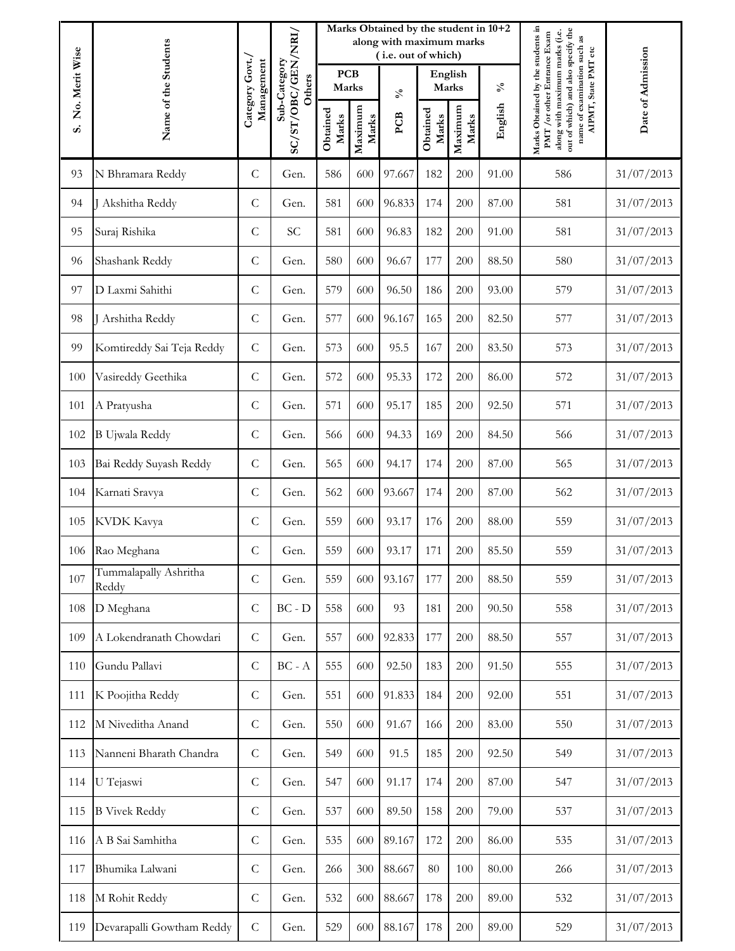|     |                                        |                               |                                              |                     |                  | Marks Obtained by the student in 10+2<br>along with maximum marks |                   |                  | Date of Admission |                                                                                                           |                                                                                     |
|-----|----------------------------------------|-------------------------------|----------------------------------------------|---------------------|------------------|-------------------------------------------------------------------|-------------------|------------------|-------------------|-----------------------------------------------------------------------------------------------------------|-------------------------------------------------------------------------------------|
|     | Name of the Students<br>No. Merit Wise |                               | SC/ST/OBC/GEN/NRI/<br>Sub-Category<br>Others | <b>PCB</b><br>Marks |                  | (i.e. out of which)                                               | English<br>Marks  |                  |                   | $\delta_0$                                                                                                | PMT / or other Entrance Exam<br>name of examination such as<br>AIPMT, State PMT etc |
|     |                                        |                               |                                              |                     |                  | $\mathcal{S}_{\bullet}$                                           |                   |                  |                   |                                                                                                           |                                                                                     |
| s.  |                                        | Category Govt./<br>Management |                                              | Obtained<br>Marks   | Maximum<br>Marks | PCB                                                               | Obtained<br>Marks | Maximum<br>Marks | English           | Marks Obtained by the students in<br>out of which) and also specify the<br>along with maximum marks (i.e. |                                                                                     |
| 93  | N Bhramara Reddy                       | $\mathcal{C}$                 | Gen.                                         | 586                 | 600              | 97.667                                                            | 182               | 200              | 91.00             | 586                                                                                                       | 31/07/2013                                                                          |
| 94  | Akshitha Reddy                         | $\mathsf{C}$                  | Gen.                                         | 581                 | 600              | 96.833                                                            | 174               | 200              | 87.00             | 581                                                                                                       | 31/07/2013                                                                          |
| 95  | Suraj Rishika                          | $\mathcal{C}$                 | <b>SC</b>                                    | 581                 | 600              | 96.83                                                             | 182               | 200              | 91.00             | 581                                                                                                       | 31/07/2013                                                                          |
| 96  | Shashank Reddy                         | $\mathcal{C}$                 | Gen.                                         | 580                 | 600              | 96.67                                                             | 177               | 200              | 88.50             | 580                                                                                                       | 31/07/2013                                                                          |
| 97  | D Laxmi Sahithi                        | $\mathcal{C}$                 | Gen.                                         | 579                 | 600              | 96.50                                                             | 186               | 200              | 93.00             | 579                                                                                                       | 31/07/2013                                                                          |
| 98  | J Arshitha Reddy                       | $\mathsf{C}$                  | Gen.                                         | 577                 | 600              | 96.167                                                            | 165               | 200              | 82.50             | 577                                                                                                       | 31/07/2013                                                                          |
| 99  | Komtireddy Sai Teja Reddy              | $\mathsf{C}$                  | Gen.                                         | 573                 | 600              | 95.5                                                              | 167               | 200              | 83.50             | 573                                                                                                       | 31/07/2013                                                                          |
| 100 | Vasireddy Geethika                     | $\mathsf{C}$                  | Gen.                                         | 572                 | 600              | 95.33                                                             | 172               | 200              | 86.00             | 572                                                                                                       | 31/07/2013                                                                          |
| 101 | A Pratyusha                            | $\mathsf{C}$                  | Gen.                                         | 571                 | 600              | 95.17                                                             | 185               | 200              | 92.50             | 571                                                                                                       | 31/07/2013                                                                          |
| 102 | <b>B</b> Ujwala Reddy                  | $\mathsf{C}$                  | Gen.                                         | 566                 | 600              | 94.33                                                             | 169               | 200              | 84.50             | 566                                                                                                       | 31/07/2013                                                                          |
| 103 | Bai Reddy Suyash Reddy                 | $\mathsf{C}$                  | Gen.                                         | 565                 | 600              | 94.17                                                             | 174               | 200              | 87.00             | 565                                                                                                       | 31/07/2013                                                                          |
| 104 | Karnati Sravya                         | $\mathcal{C}$                 | Gen.                                         | 562                 | 600              | 93.667                                                            | 174               | 200              | 87.00             | 562                                                                                                       | 31/07/2013                                                                          |
| 105 | KVDK Kavya                             | $\mathcal{C}$                 | Gen.                                         | 559                 | 600              | 93.17                                                             | 176               | 200              | 88.00             | 559                                                                                                       | 31/07/2013                                                                          |
| 106 | Rao Meghana                            | $\mathsf{C}$                  | Gen.                                         | 559                 | 600              | 93.17                                                             | 171               | 200              | 85.50             | 559                                                                                                       | 31/07/2013                                                                          |
| 107 | Tummalapally Ashritha<br>Reddy         | ${\bf C}$                     | Gen.                                         | 559                 | 600              | 93.167                                                            | 177               | 200              | 88.50             | 559                                                                                                       | 31/07/2013                                                                          |
| 108 | D Meghana                              | $\mathcal{C}$                 | $BC - D$                                     | 558                 | 600              | 93                                                                | 181               | 200              | 90.50             | 558                                                                                                       | 31/07/2013                                                                          |
| 109 | A Lokendranath Chowdari                | $\mathsf{C}$                  | Gen.                                         | 557                 | 600              | 92.833                                                            | 177               | 200              | 88.50             | 557                                                                                                       | 31/07/2013                                                                          |
| 110 | Gundu Pallavi                          | $\mathcal{C}$                 | $BC - A$                                     | 555                 | 600              | 92.50                                                             | 183               | 200              | 91.50             | 555                                                                                                       | 31/07/2013                                                                          |
| 111 | K Poojitha Reddy                       | $\mathcal{C}$                 | Gen.                                         | 551                 | 600              | 91.833                                                            | 184               | 200              | 92.00             | 551                                                                                                       | 31/07/2013                                                                          |
| 112 | M Niveditha Anand                      | $\mathcal{C}$                 | Gen.                                         | 550                 | 600              | 91.67                                                             | 166               | 200              | 83.00             | 550                                                                                                       | 31/07/2013                                                                          |
| 113 | Nanneni Bharath Chandra                | $\mathsf C$                   | Gen.                                         | 549                 | 600              | 91.5                                                              | 185               | 200              | 92.50             | 549                                                                                                       | 31/07/2013                                                                          |
| 114 | U Tejaswi                              | $\mathsf C$                   | Gen.                                         | 547                 | 600              | 91.17                                                             | 174               | 200              | 87.00             | 547                                                                                                       | 31/07/2013                                                                          |
| 115 | <b>B</b> Vivek Reddy                   | $\mathcal{C}$                 | Gen.                                         | 537                 | 600              | 89.50                                                             | 158               | 200              | 79.00             | 537                                                                                                       | 31/07/2013                                                                          |
| 116 | A B Sai Samhitha                       | $\mathsf{C}$                  | Gen.                                         | 535                 | 600              | 89.167                                                            | 172               | 200              | 86.00             | 535                                                                                                       | 31/07/2013                                                                          |
| 117 | Bhumika Lalwani                        | $\mathcal{C}$                 | Gen.                                         | 266                 | 300              | 88.667                                                            | 80                | 100              | 80.00             | 266                                                                                                       | 31/07/2013                                                                          |
| 118 | M Rohit Reddy                          | $\mathsf C$                   | Gen.                                         | 532                 | 600              | 88.667                                                            | 178               | 200              | 89.00             | 532                                                                                                       | 31/07/2013                                                                          |
| 119 | Devarapalli Gowtham Reddy              | $\mathsf{C}$                  | Gen.                                         | 529                 | 600              | 88.167                                                            | 178               | 200              | 89.00             | 529                                                                                                       | 31/07/2013                                                                          |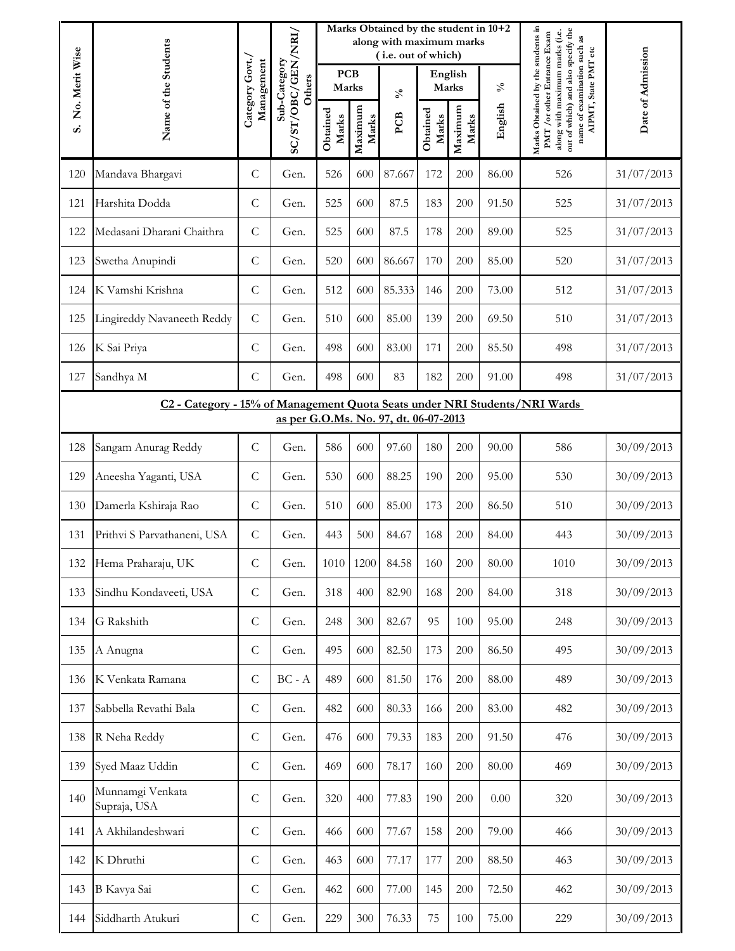|                                                                                                                     | Name of the Students             |                              |                                              |                     |                  | Marks Obtained by the student in 10+2<br>along with maximum marks<br>(i.e. out of which) |                   |                  |            |                                                                                                                                                                          |                   |
|---------------------------------------------------------------------------------------------------------------------|----------------------------------|------------------------------|----------------------------------------------|---------------------|------------------|------------------------------------------------------------------------------------------|-------------------|------------------|------------|--------------------------------------------------------------------------------------------------------------------------------------------------------------------------|-------------------|
| No. Merit Wise                                                                                                      |                                  | Category Govt.<br>Management | SC/ST/OBC/GEN/NRI/<br>Sub-Category<br>Others | <b>PCB</b><br>Marks |                  | $\mathcal{S}_{\mathbf{0}}$                                                               |                   | English<br>Marks | $\delta_0$ | AIPMT, State PMT etc                                                                                                                                                     | Date of Admission |
| s.                                                                                                                  |                                  |                              |                                              | Obtained<br>Marks   | Maximum<br>Marks | PCB                                                                                      | Obtained<br>Marks | Maximum<br>Marks | English    | Marks Obtained by the students in<br>out of which) and also specify the<br>along with maximum marks (i.e.<br>PMT / or other Entrance Exam<br>name of examination such as |                   |
| 120                                                                                                                 | Mandava Bhargavi                 | $\mathsf C$                  | Gen.                                         | 526                 | 600              | 87.667                                                                                   | 172               | 200              | 86.00      | 526                                                                                                                                                                      | 31/07/2013        |
| 121                                                                                                                 | Harshita Dodda                   | $\mathcal{C}$                | Gen.                                         | 525                 | 600              | 87.5                                                                                     | 183               | 200              | 91.50      | 525                                                                                                                                                                      | 31/07/2013        |
| 122                                                                                                                 | Medasani Dharani Chaithra        | $\mathcal{C}$                | Gen.                                         | 525                 | 600              | 87.5                                                                                     | 178               | 200              | 89.00      | 525                                                                                                                                                                      | 31/07/2013        |
| 123                                                                                                                 | Swetha Anupindi                  | $\mathsf C$                  | Gen.                                         | 520                 | 600              | 86.667                                                                                   | 170               | 200              | 85.00      | 520                                                                                                                                                                      | 31/07/2013        |
| 124                                                                                                                 | K Vamshi Krishna                 | $\mathcal{C}$                | Gen.                                         | 512                 | 600              | 85.333                                                                                   | 146               | 200              | 73.00      | 512                                                                                                                                                                      | 31/07/2013        |
| 125                                                                                                                 | Lingireddy Navaneeth Reddy       | $\mathcal{C}$                | Gen.                                         | 510                 | 600              | 85.00                                                                                    | 139               | 200              | 69.50      | 510                                                                                                                                                                      | 31/07/2013        |
| 126                                                                                                                 | K Sai Priya                      | $\mathsf C$                  | Gen.                                         | 498                 | 600              | 83.00                                                                                    | 171               | 200              | 85.50      | 498                                                                                                                                                                      | 31/07/2013        |
| 127                                                                                                                 | Sandhya M                        | $\mathsf C$                  | Gen.                                         | 498                 | 600              | 83                                                                                       | 182               | 200              | 91.00      | 498                                                                                                                                                                      | 31/07/2013        |
| C2 - Category - 15% of Management Quota Seats under NRI Students/NRI Wards<br>as per G.O.Ms. No. 97, dt. 06-07-2013 |                                  |                              |                                              |                     |                  |                                                                                          |                   |                  |            |                                                                                                                                                                          |                   |
| 128                                                                                                                 | Sangam Anurag Reddy              | $\mathsf C$                  | Gen.                                         | 586                 | 600              | 97.60                                                                                    | 180               | 200              | 90.00      | 586                                                                                                                                                                      | 30/09/2013        |
| 129                                                                                                                 | Aneesha Yaganti, USA             | $\mathsf C$                  | Gen.                                         | 530                 | 600              | 88.25                                                                                    | 190               | 200              | 95.00      | 530                                                                                                                                                                      | 30/09/2013        |
| 130                                                                                                                 | Damerla Kshiraja Rao             | $\mathsf C$                  | Gen.                                         | 510                 | 600              | 85.00                                                                                    | 173               | 200              | 86.50      | 510                                                                                                                                                                      | 30/09/2013        |
| 131                                                                                                                 | Prithvi S Parvathaneni, USA      | $\mathsf C$                  | Gen.                                         | 443                 | 500              | 84.67                                                                                    | 168               | 200              | 84.00      | 443                                                                                                                                                                      | 30/09/2013        |
| 132                                                                                                                 | Hema Praharaju, UK               | C                            | Gen.                                         | 1010                | 1200             | 84.58                                                                                    | 160               | 200              | 80.00      | 1010                                                                                                                                                                     | 30/09/2013        |
| 133                                                                                                                 | Sindhu Kondaveeti, USA           | $\mathsf C$                  | Gen.                                         | 318                 | 400              | 82.90                                                                                    | 168               | 200              | 84.00      | 318                                                                                                                                                                      | 30/09/2013        |
| 134                                                                                                                 | G Rakshith                       | $\mathsf C$                  | Gen.                                         | 248                 | 300              | 82.67                                                                                    | 95                | 100              | 95.00      | 248                                                                                                                                                                      | 30/09/2013        |
| 135                                                                                                                 | A Anugna                         | $\mathsf C$                  | Gen.                                         | 495                 | 600              | 82.50                                                                                    | 173               | 200              | 86.50      | 495                                                                                                                                                                      | 30/09/2013        |
| 136                                                                                                                 | K Venkata Ramana                 | $\mathsf C$                  | $BC - A$                                     | 489                 | 600              | 81.50                                                                                    | 176               | 200              | 88.00      | 489                                                                                                                                                                      | 30/09/2013        |
| 137                                                                                                                 | Sabbella Revathi Bala            | $\mathsf C$                  | Gen.                                         | 482                 | 600              | 80.33                                                                                    | 166               | 200              | 83.00      | 482                                                                                                                                                                      | 30/09/2013        |
| 138                                                                                                                 | R Neha Reddy                     | $\mathsf C$                  | Gen.                                         | 476                 | 600              | 79.33                                                                                    | 183               | 200              | 91.50      | 476                                                                                                                                                                      | 30/09/2013        |
| 139                                                                                                                 | Syed Maaz Uddin                  | $\mathsf C$                  | Gen.                                         | 469                 | 600              | 78.17                                                                                    | 160               | 200              | 80.00      | 469                                                                                                                                                                      | 30/09/2013        |
| 140                                                                                                                 | Munnamgi Venkata<br>Supraja, USA | $\mathcal{C}$                | Gen.                                         | 320                 | 400              | 77.83                                                                                    | 190               | 200              | 0.00       | 320                                                                                                                                                                      | 30/09/2013        |
| 141                                                                                                                 | A Akhilandeshwari                | $\mathsf C$                  | Gen.                                         | 466                 | 600              | 77.67                                                                                    | 158               | 200              | 79.00      | 466                                                                                                                                                                      | 30/09/2013        |
| 142                                                                                                                 | K Dhruthi                        | $\mathsf C$                  | Gen.                                         | 463                 | 600              | 77.17                                                                                    | 177               | 200              | 88.50      | 463                                                                                                                                                                      | 30/09/2013        |
| 143                                                                                                                 | B Kavya Sai                      | $\mathsf C$                  | Gen.                                         | 462                 | 600              | 77.00                                                                                    | 145               | 200              | 72.50      | 462                                                                                                                                                                      | 30/09/2013        |
| 144                                                                                                                 | Siddharth Atukuri                | $\mathsf C$                  | Gen.                                         | 229                 | 300              | 76.33                                                                                    | 75                | 100              | 75.00      | 229                                                                                                                                                                      | 30/09/2013        |